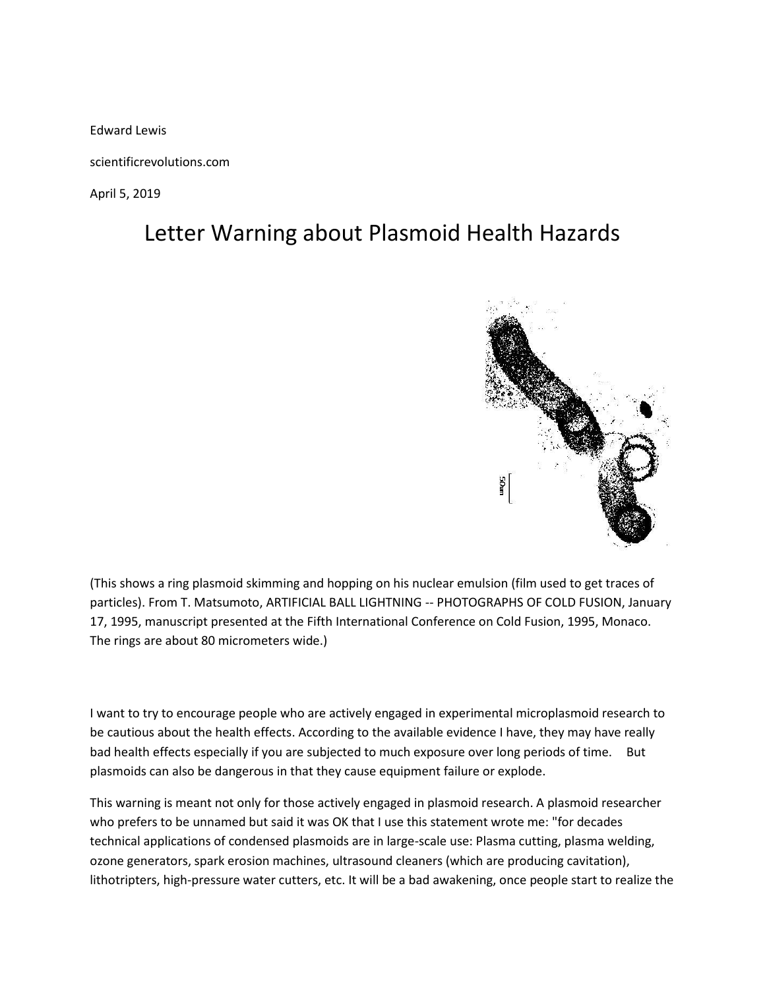Edward Lewis

scientificrevolutions.com

April 5, 2019

## Letter Warning about Plasmoid Health Hazards



(This shows a ring plasmoid skimming and hopping on his nuclear emulsion (film used to get traces of particles). From T. Matsumoto, ARTIFICIAL BALL LIGHTNING -- PHOTOGRAPHS OF COLD FUSION, January 17, 1995, manuscript presented at the Fifth International Conference on Cold Fusion, 1995, Monaco. The rings are about 80 micrometers wide.)

I want to try to encourage people who are actively engaged in experimental microplasmoid research to be cautious about the health effects. According to the available evidence I have, they may have really bad health effects especially if you are subjected to much exposure over long periods of time. But plasmoids can also be dangerous in that they cause equipment failure or explode.

This warning is meant not only for those actively engaged in plasmoid research. A plasmoid researcher who prefers to be unnamed but said it was OK that I use this statement wrote me: "for decades technical applications of condensed plasmoids are in large-scale use: Plasma cutting, plasma welding, ozone generators, spark erosion machines, ultrasound cleaners (which are producing cavitation), lithotripters, high-pressure water cutters, etc. It will be a bad awakening, once people start to realize the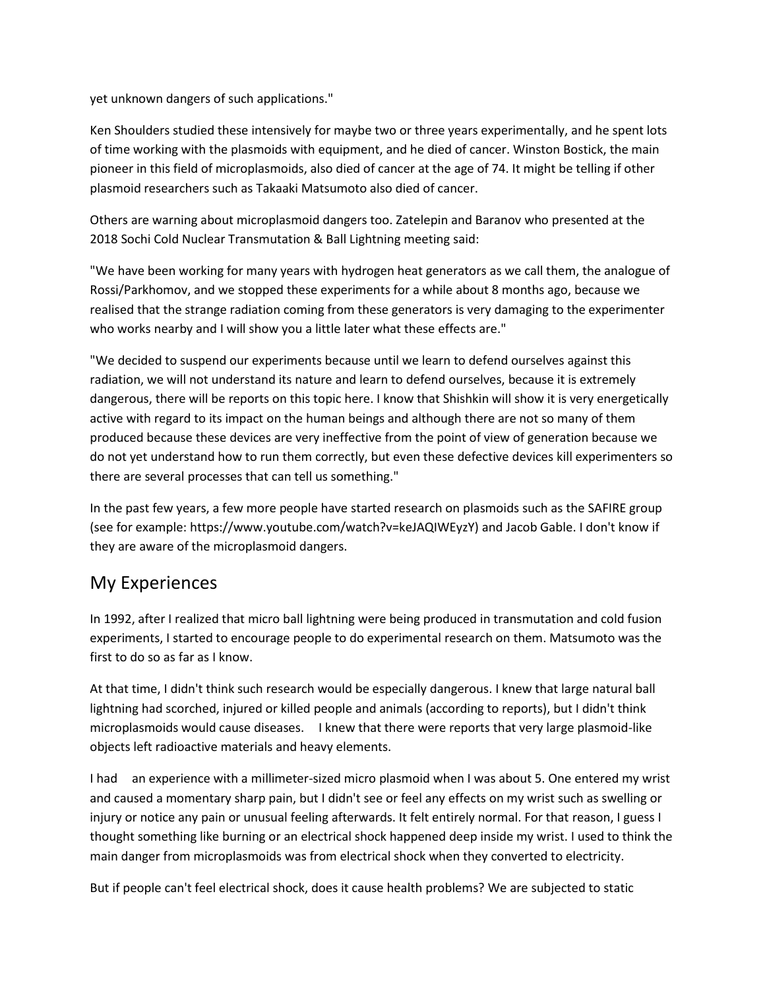yet unknown dangers of such applications."

Ken Shoulders studied these intensively for maybe two or three years experimentally, and he spent lots of time working with the plasmoids with equipment, and he died of cancer. Winston Bostick, the main pioneer in this field of microplasmoids, also died of cancer at the age of 74. It might be telling if other plasmoid researchers such as Takaaki Matsumoto also died of cancer.

Others are warning about microplasmoid dangers too. Zatelepin and Baranov who presented at the 2018 Sochi Cold Nuclear Transmutation & Ball Lightning meeting said:

"We have been working for many years with hydrogen heat generators as we call them, the analogue of Rossi/Parkhomov, and we stopped these experiments for a while about 8 months ago, because we realised that the strange radiation coming from these generators is very damaging to the experimenter who works nearby and I will show you a little later what these effects are."

"We decided to suspend our experiments because until we learn to defend ourselves against this radiation, we will not understand its nature and learn to defend ourselves, because it is extremely dangerous, there will be reports on this topic here. I know that Shishkin will show it is very energetically active with regard to its impact on the human beings and although there are not so many of them produced because these devices are very ineffective from the point of view of generation because we do not yet understand how to run them correctly, but even these defective devices kill experimenters so there are several processes that can tell us something."

In the past few years, a few more people have started research on plasmoids such as the SAFIRE group (see for example: [https://www.youtube.com/watch?v=keJAQIWEyzY\)](https://www.youtube.com/watch?v=keJAQIWEyzY) and Jacob Gable. I don't know if they are aware of the microplasmoid dangers.

### My Experiences

In 1992, after I realized that micro ball lightning were being produced in transmutation and cold fusion experiments, I started to encourage people to do experimental research on them. Matsumoto was the first to do so as far as I know.

At that time, I didn't think such research would be especially dangerous. I knew that large natural ball lightning had scorched, injured or killed people and animals (according to reports), but I didn't think microplasmoids would cause diseases. I knew that there were reports that very large plasmoid-like objects left radioactive materials and heavy elements.

I had an experience with a millimeter-sized micro plasmoid when I was about 5. One entered my wrist and caused a momentary sharp pain, but I didn't see or feel any effects on my wrist such as swelling or injury or notice any pain or unusual feeling afterwards. It felt entirely normal. For that reason, I guess I thought something like burning or an electrical shock happened deep inside my wrist. I used to think the main danger from microplasmoids was from electrical shock when they converted to electricity.

But if people can't feel electrical shock, does it cause health problems? We are subjected to static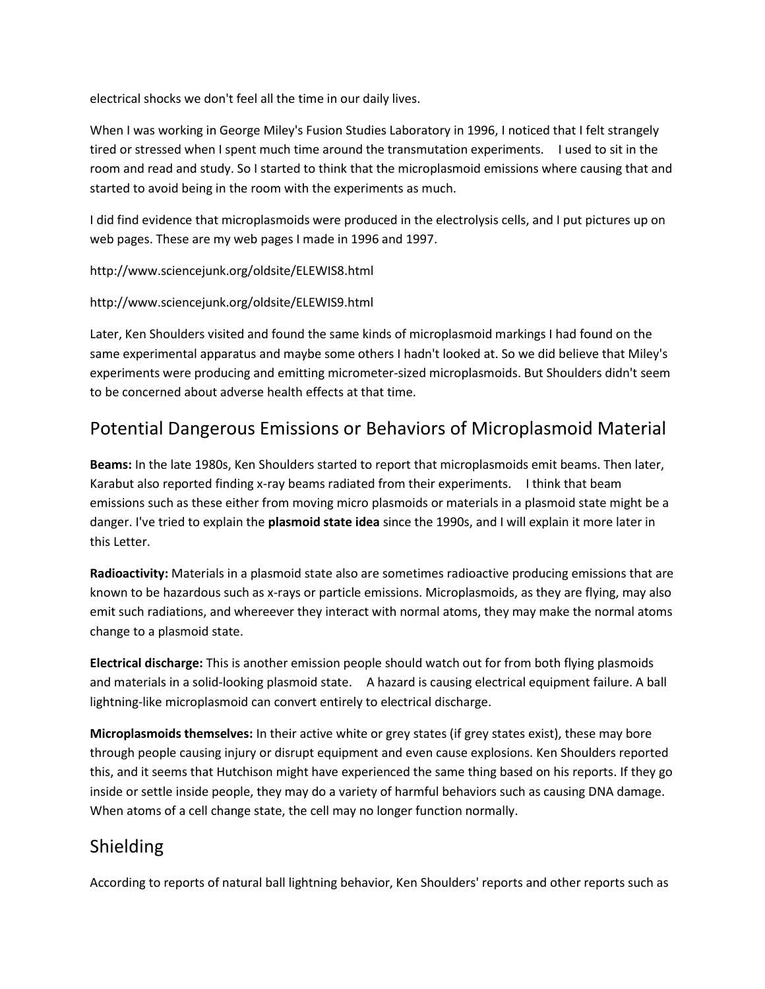electrical shocks we don't feel all the time in our daily lives.

When I was working in George Miley's Fusion Studies Laboratory in 1996, I noticed that I felt strangely tired or stressed when I spent much time around the transmutation experiments. I used to sit in the room and read and study. So I started to think that the microplasmoid emissions where causing that and started to avoid being in the room with the experiments as much.

I did find evidence that microplasmoids were produced in the electrolysis cells, and I put pictures up on web pages. These are my web pages I made in 1996 and 1997.

<http://www.sciencejunk.org/oldsite/ELEWIS8.html>

#### <http://www.sciencejunk.org/oldsite/ELEWIS9.html>

Later, Ken Shoulders visited and found the same kinds of microplasmoid markings I had found on the same experimental apparatus and maybe some others I hadn't looked at. So we did believe that Miley's experiments were producing and emitting micrometer-sized microplasmoids. But Shoulders didn't seem to be concerned about adverse health effects at that time.

### Potential Dangerous Emissions or Behaviors of Microplasmoid Material

**Beams:** In the late 1980s, Ken Shoulders started to report that microplasmoids emit beams. Then later, Karabut also reported finding x-ray beams radiated from their experiments. I think that beam emissions such as these either from moving micro plasmoids or materials in a plasmoid state might be a danger. I've tried to explain the **plasmoid state idea** since the 1990s, and I will explain it more later in this Letter.

**Radioactivity:** Materials in a plasmoid state also are sometimes radioactive producing emissions that are known to be hazardous such as x-rays or particle emissions. Microplasmoids, as they are flying, may also emit such radiations, and whereever they interact with normal atoms, they may make the normal atoms change to a plasmoid state.

**Electrical discharge:** This is another emission people should watch out for from both flying plasmoids and materials in a solid-looking plasmoid state. A hazard is causing electrical equipment failure. A ball lightning-like microplasmoid can convert entirely to electrical discharge.

**Microplasmoids themselves:** In their active white or grey states (if grey states exist), these may bore through people causing injury or disrupt equipment and even cause explosions. Ken Shoulders reported this, and it seems that Hutchison might have experienced the same thing based on his reports. If they go inside or settle inside people, they may do a variety of harmful behaviors such as causing DNA damage. When atoms of a cell change state, the cell may no longer function normally.

### Shielding

According to reports of natural ball lightning behavior, Ken Shoulders' reports and other reports such as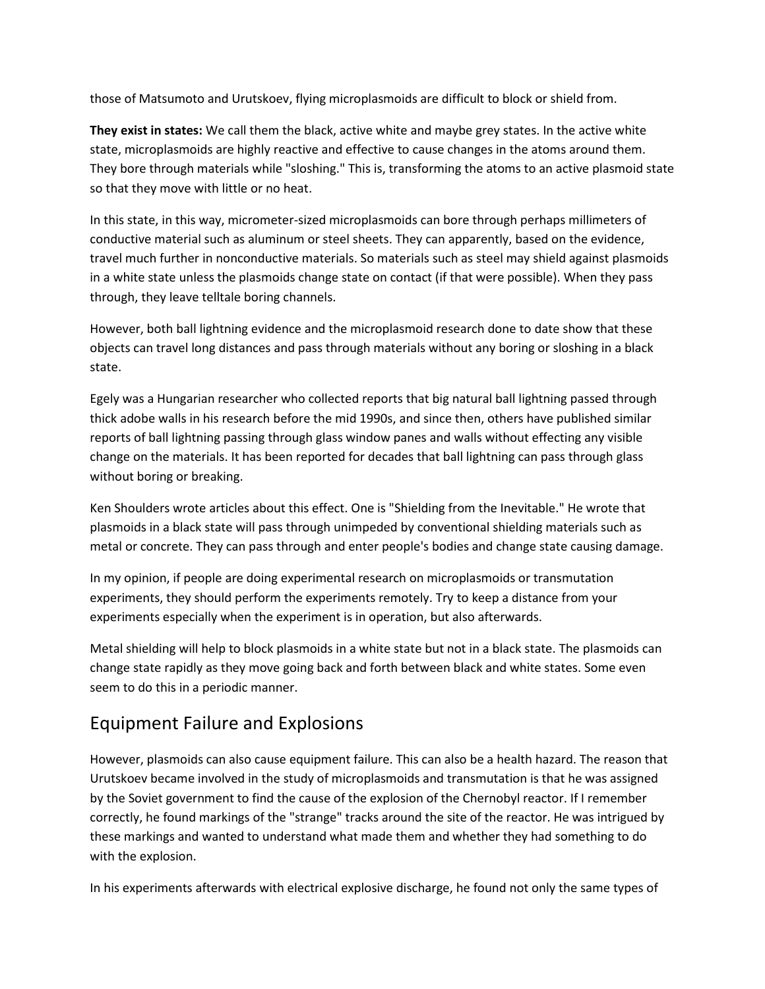those of Matsumoto and Urutskoev, flying microplasmoids are difficult to block or shield from.

**They exist in states:** We call them the black, active white and maybe grey states. In the active white state, microplasmoids are highly reactive and effective to cause changes in the atoms around them. They bore through materials while "sloshing." This is, transforming the atoms to an active plasmoid state so that they move with little or no heat.

In this state, in this way, micrometer-sized microplasmoids can bore through perhaps millimeters of conductive material such as aluminum or steel sheets. They can apparently, based on the evidence, travel much further in nonconductive materials. So materials such as steel may shield against plasmoids in a white state unless the plasmoids change state on contact (if that were possible). When they pass through, they leave telltale boring channels.

However, both ball lightning evidence and the microplasmoid research done to date show that these objects can travel long distances and pass through materials without any boring or sloshing in a black state.

Egely was a Hungarian researcher who collected reports that big natural ball lightning passed through thick adobe walls in his research before the mid 1990s, and since then, others have published similar reports of ball lightning passing through glass window panes and walls without effecting any visible change on the materials. It has been reported for decades that ball lightning can pass through glass without boring or breaking.

Ken Shoulders wrote articles about this effect. One is "Shielding from the Inevitable." He wrote that plasmoids in a black state will pass through unimpeded by conventional shielding materials such as metal or concrete. They can pass through and enter people's bodies and change state causing damage.

In my opinion, if people are doing experimental research on microplasmoids or transmutation experiments, they should perform the experiments remotely. Try to keep a distance from your experiments especially when the experiment is in operation, but also afterwards.

Metal shielding will help to block plasmoids in a white state but not in a black state. The plasmoids can change state rapidly as they move going back and forth between black and white states. Some even seem to do this in a periodic manner.

### Equipment Failure and Explosions

However, plasmoids can also cause equipment failure. This can also be a health hazard. The reason that Urutskoev became involved in the study of microplasmoids and transmutation is that he was assigned by the Soviet government to find the cause of the explosion of the Chernobyl reactor. If I remember correctly, he found markings of the "strange" tracks around the site of the reactor. He was intrigued by these markings and wanted to understand what made them and whether they had something to do with the explosion.

In his experiments afterwards with electrical explosive discharge, he found not only the same types of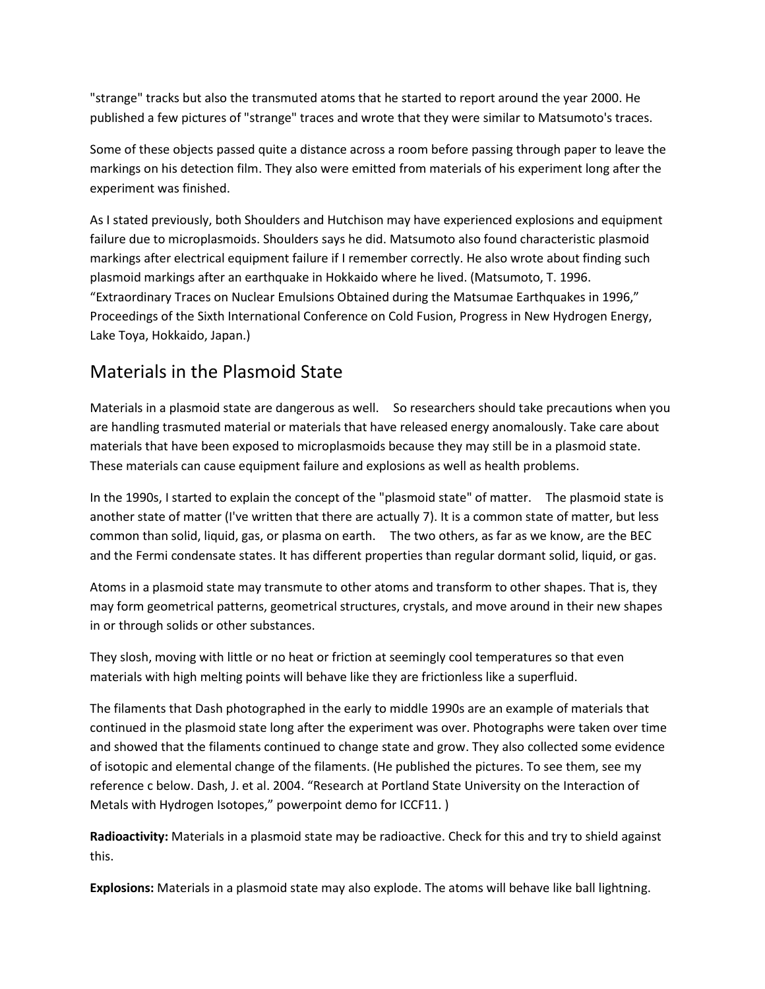"strange" tracks but also the transmuted atoms that he started to report around the year 2000. He published a few pictures of "strange" traces and wrote that they were similar to Matsumoto's traces.

Some of these objects passed quite a distance across a room before passing through paper to leave the markings on his detection film. They also were emitted from materials of his experiment long after the experiment was finished.

As I stated previously, both Shoulders and Hutchison may have experienced explosions and equipment failure due to microplasmoids. Shoulders says he did. Matsumoto also found characteristic plasmoid markings after electrical equipment failure if I remember correctly. He also wrote about finding such plasmoid markings after an earthquake in Hokkaido where he lived. (Matsumoto, T. 1996. "Extraordinary Traces on Nuclear Emulsions Obtained during the Matsumae Earthquakes in 1996," Proceedings of the Sixth International Conference on Cold Fusion, Progress in New Hydrogen Energy, Lake Toya, Hokkaido, Japan.)

### Materials in the Plasmoid State

Materials in a plasmoid state are dangerous as well. So researchers should take precautions when you are handling trasmuted material or materials that have released energy anomalously. Take care about materials that have been exposed to microplasmoids because they may still be in a plasmoid state. These materials can cause equipment failure and explosions as well as health problems.

In the 1990s, I started to explain the concept of the "plasmoid state" of matter. The plasmoid state is another state of matter (I've written that there are actually 7). It is a common state of matter, but less common than solid, liquid, gas, or plasma on earth. The two others, as far as we know, are the BEC and the Fermi condensate states. It has different properties than regular dormant solid, liquid, or gas.

Atoms in a plasmoid state may transmute to other atoms and transform to other shapes. That is, they may form geometrical patterns, geometrical structures, crystals, and move around in their new shapes in or through solids or other substances.

They slosh, moving with little or no heat or friction at seemingly cool temperatures so that even materials with high melting points will behave like they are frictionless like a superfluid.

The filaments that Dash photographed in the early to middle 1990s are an example of materials that continued in the plasmoid state long after the experiment was over. Photographs were taken over time and showed that the filaments continued to change state and grow. They also collected some evidence of isotopic and elemental change of the filaments. (He published the pictures. To see them, see my reference c below. Dash, J. et al. 2004. "Research at Portland State University on the Interaction of Metals with Hydrogen Isotopes," powerpoint demo for ICCF11. )

**Radioactivity:** Materials in a plasmoid state may be radioactive. Check for this and try to shield against this.

**Explosions:** Materials in a plasmoid state may also explode. The atoms will behave like ball lightning.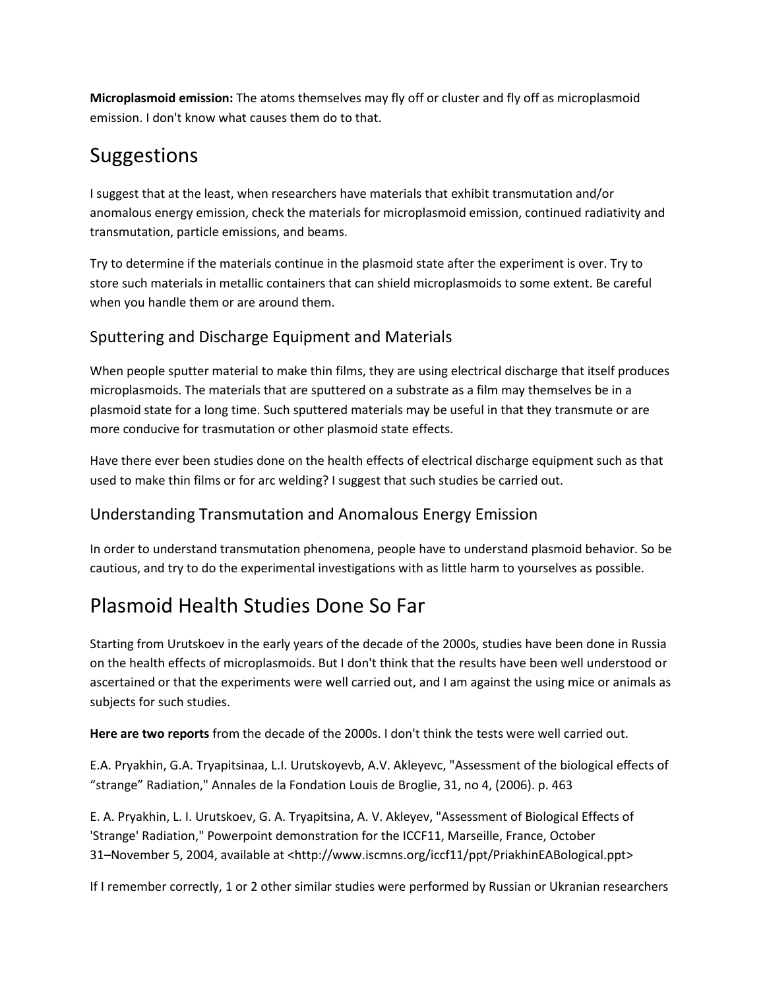**Microplasmoid emission:** The atoms themselves may fly off or cluster and fly off as microplasmoid emission. I don't know what causes them do to that.

## Suggestions

I suggest that at the least, when researchers have materials that exhibit transmutation and/or anomalous energy emission, check the materials for microplasmoid emission, continued radiativity and transmutation, particle emissions, and beams.

Try to determine if the materials continue in the plasmoid state after the experiment is over. Try to store such materials in metallic containers that can shield microplasmoids to some extent. Be careful when you handle them or are around them.

#### Sputtering and Discharge Equipment and Materials

When people sputter material to make thin films, they are using electrical discharge that itself produces microplasmoids. The materials that are sputtered on a substrate as a film may themselves be in a plasmoid state for a long time. Such sputtered materials may be useful in that they transmute or are more conducive for trasmutation or other plasmoid state effects.

Have there ever been studies done on the health effects of electrical discharge equipment such as that used to make thin films or for arc welding? I suggest that such studies be carried out.

#### Understanding Transmutation and Anomalous Energy Emission

In order to understand transmutation phenomena, people have to understand plasmoid behavior. So be cautious, and try to do the experimental investigations with as little harm to yourselves as possible.

# Plasmoid Health Studies Done So Far

Starting from Urutskoev in the early years of the decade of the 2000s, studies have been done in Russia on the health effects of microplasmoids. But I don't think that the results have been well understood or ascertained or that the experiments were well carried out, and I am against the using mice or animals as subjects for such studies.

**Here are two reports** from the decade of the 2000s. I don't think the tests were well carried out.

E.A. Pryakhin, G.A. Tryapitsinaa, L.I. Urutskoyevb, A.V. Akleyevc, "Assessment of the biological effects of "strange" Radiation," Annales de la Fondation Louis de Broglie, 31, no 4, (2006). p. 463

E. A. Pryakhin, L. I. Urutskoev, G. A. Tryapitsina, A. V. Akleyev, "Assessment of Biological Effects of 'Strange' Radiation," Powerpoint demonstration for the ICCF11, Marseille, France, October 31–November 5, 2004, available at [<http://www.iscmns.org/iccf11/ppt/PriakhinEABological.ppt>](http://www.iscmns.org/iccf11/ppt/PriakhinEABological.ppt)

If I remember correctly, 1 or 2 other similar studies were performed by Russian or Ukranian researchers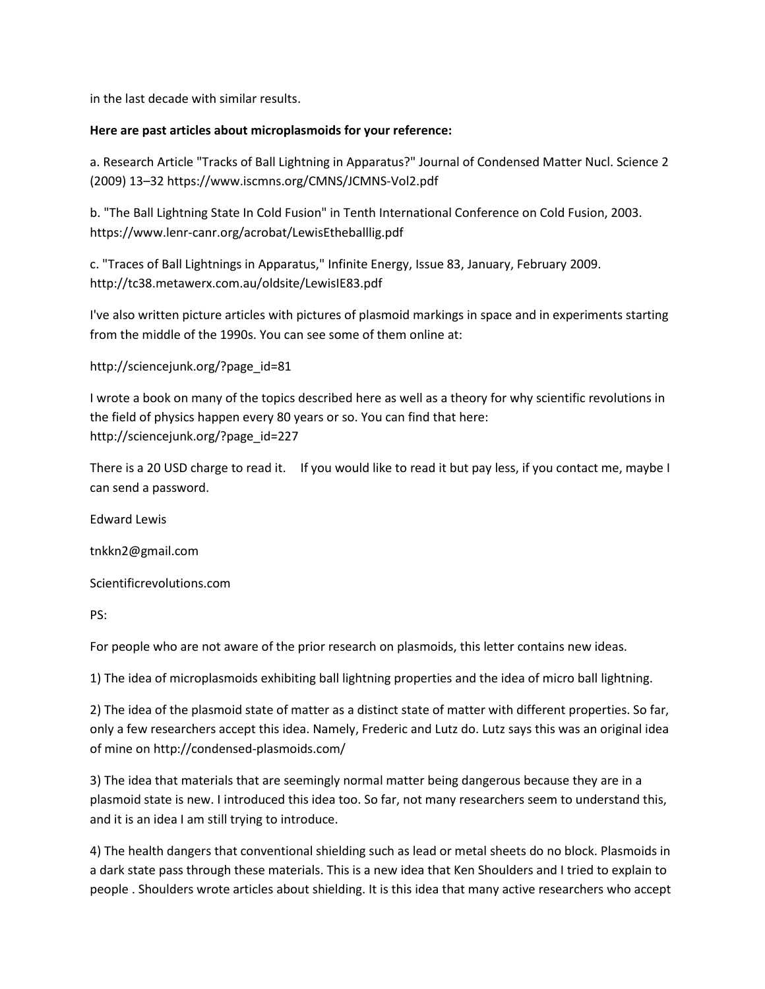in the last decade with similar results.

#### **Here are past articles about microplasmoids for your reference:**

a. Research Article "Tracks of Ball Lightning in Apparatus?" Journal of Condensed Matter Nucl. Science 2 (2009) 13–3[2 https://www.iscmns.org/CMNS/JCMNS-Vol2.pdf](https://www.iscmns.org/CMNS/JCMNS-Vol2.pdf)

b. "The Ball Lightning State In Cold Fusion" in Tenth International Conference on Cold Fusion, 2003. <https://www.lenr-canr.org/acrobat/LewisEtheballlig.pdf>

c. "Traces of Ball Lightnings in Apparatus," Infinite Energy, Issue 83, January, February 2009. <http://tc38.metawerx.com.au/oldsite/LewisIE83.pdf>

I've also written picture articles with pictures of plasmoid markings in space and in experiments starting from the middle of the 1990s. You can see some of them online at:

```
http://sciencejunk.org/?page_id=81
```
I wrote a book on many of the topics described here as well as a theory for why scientific revolutions in the field of physics happen every 80 years or so. You can find that here: [http://sciencejunk.org/?page\\_id=227](http://sciencejunk.org/?page_id=227)

There is a 20 USD charge to read it. If you would like to read it but pay less, if you contact me, maybe I can send a password.

Edward Lewis

tnkkn2@gmail.com

Scientificrevolutions.com

PS:

For people who are not aware of the prior research on plasmoids, this letter contains new ideas.

1) The idea of microplasmoids exhibiting ball lightning properties and the idea of micro ball lightning.

2) The idea of the plasmoid state of matter as a distinct state of matter with different properties. So far, only a few researchers accept this idea. Namely, Frederic and Lutz do. Lutz says this was an original idea of mine on<http://condensed-plasmoids.com/>

3) The idea that materials that are seemingly normal matter being dangerous because they are in a plasmoid state is new. I introduced this idea too. So far, not many researchers seem to understand this, and it is an idea I am still trying to introduce.

4) The health dangers that conventional shielding such as lead or metal sheets do no block. Plasmoids in a dark state pass through these materials. This is a new idea that Ken Shoulders and I tried to explain to people . Shoulders wrote articles about shielding. It is this idea that many active researchers who accept